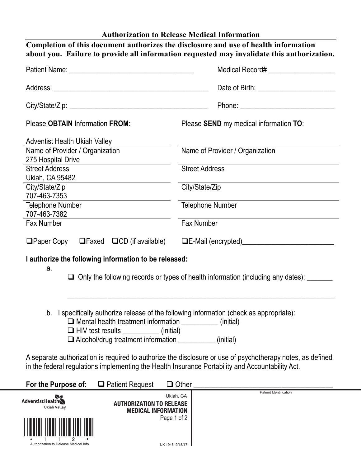| <b>Authorization to Release Medical Information</b> |  |  |  |  |
|-----------------------------------------------------|--|--|--|--|
|-----------------------------------------------------|--|--|--|--|

| Completion of this document authorizes the disclosure and use of health information<br>about you. Failure to provide all information requested may invalidate this authorization. |                                                                                                            |  |  |  |  |  |
|-----------------------------------------------------------------------------------------------------------------------------------------------------------------------------------|------------------------------------------------------------------------------------------------------------|--|--|--|--|--|
|                                                                                                                                                                                   | Medical Record# ____________________                                                                       |  |  |  |  |  |
|                                                                                                                                                                                   |                                                                                                            |  |  |  |  |  |
|                                                                                                                                                                                   |                                                                                                            |  |  |  |  |  |
| Please OBTAIN Information FROM:                                                                                                                                                   | Please SEND my medical information TO:                                                                     |  |  |  |  |  |
| <b>Adventist Health Ukiah Valley</b>                                                                                                                                              |                                                                                                            |  |  |  |  |  |
| Name of Provider / Organization<br>275 Hospital Drive                                                                                                                             | Name of Provider / Organization                                                                            |  |  |  |  |  |
| <b>Street Address</b>                                                                                                                                                             | <b>Street Address</b>                                                                                      |  |  |  |  |  |
| Ukiah, CA 95482<br>City/State/Zip                                                                                                                                                 | City/State/Zip                                                                                             |  |  |  |  |  |
| 707-463-7353<br><b>Telephone Number</b>                                                                                                                                           | <b>Telephone Number</b>                                                                                    |  |  |  |  |  |
| 707-463-7382<br><b>Fax Number</b>                                                                                                                                                 | Fax Number                                                                                                 |  |  |  |  |  |
| $\Box$ Paper Copy $\Box$ Faxed $\Box$ CD (if available)                                                                                                                           |                                                                                                            |  |  |  |  |  |
| I authorize the following information to be released:                                                                                                                             |                                                                                                            |  |  |  |  |  |
| a.                                                                                                                                                                                | $\Box$ Only the following records or types of health information (including any dates): $\Box$             |  |  |  |  |  |
| b. I specifically authorize release of the following information (check as appropriate):                                                                                          |                                                                                                            |  |  |  |  |  |
| □ Mental health treatment information ___________<br>(initial)                                                                                                                    |                                                                                                            |  |  |  |  |  |
| Alcohol/drug treatment information __________                                                                                                                                     | (initial)                                                                                                  |  |  |  |  |  |
| in the federal regulations implementing the Health Insurance Portability and Accountability Act.                                                                                  | A separate authorization is required to authorize the disclosure or use of psychotherapy notes, as defined |  |  |  |  |  |
| For the Purpose of:<br>$\Box$ Patient Request                                                                                                                                     | $\square$ Other                                                                                            |  |  |  |  |  |
| <b>Adventist HealthN</b><br><b>AUTHORIZATION TO RELEASE</b><br>Ukiah Valley<br><b>MEDICAL INFORMATION</b>                                                                         | <b>Patient Identification</b><br>Ukiah, CA                                                                 |  |  |  |  |  |
|                                                                                                                                                                                   | Page 1 of 2                                                                                                |  |  |  |  |  |

Authorization to Release Medical Info